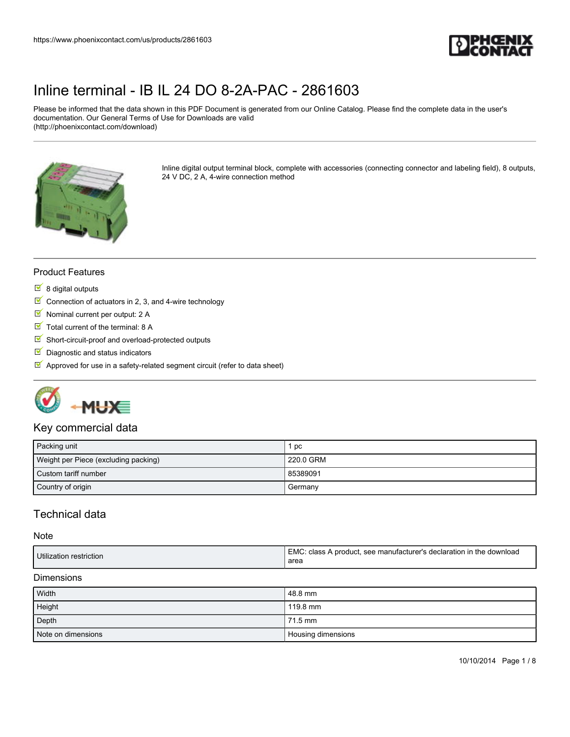

Please be informed that the data shown in this PDF Document is generated from our Online Catalog. Please find the complete data in the user's documentation. Our General Terms of Use for Downloads are valid (http://phoenixcontact.com/download)



Inline digital output terminal block, complete with accessories (connecting connector and labeling field), 8 outputs, 24 V DC, 2 A, 4-wire connection method

#### Product Features

- $8$  digital outputs
- $\boxed{\blacksquare}$  Connection of actuators in 2, 3, and 4-wire technology
- Nominal current per output: 2 A
- $\blacksquare$  Total current of the terminal: 8 A
- $\blacksquare$  Short-circuit-proof and overload-protected outputs
- Diagnostic and status indicators
- $\blacksquare$  Approved for use in a safety-related segment circuit (refer to data sheet)



#### Key commercial data

| Packing unit                         | 1 pc      |
|--------------------------------------|-----------|
| Weight per Piece (excluding packing) | 220.0 GRM |
| Custom tariff number                 | 85389091  |
| Country of origin                    | Germany   |

## Technical data

#### **Note**

| Utilization restriction | EMC<br>ัำ the c<br>see manufacturer's declaration in<br>class A product.<br>: download<br>area |
|-------------------------|------------------------------------------------------------------------------------------------|
|                         |                                                                                                |

#### Dimensions

| Width              | 48.8 mm            |
|--------------------|--------------------|
| Height             | 119.8 mm           |
| Depth              | 71.5 mm            |
| Note on dimensions | Housing dimensions |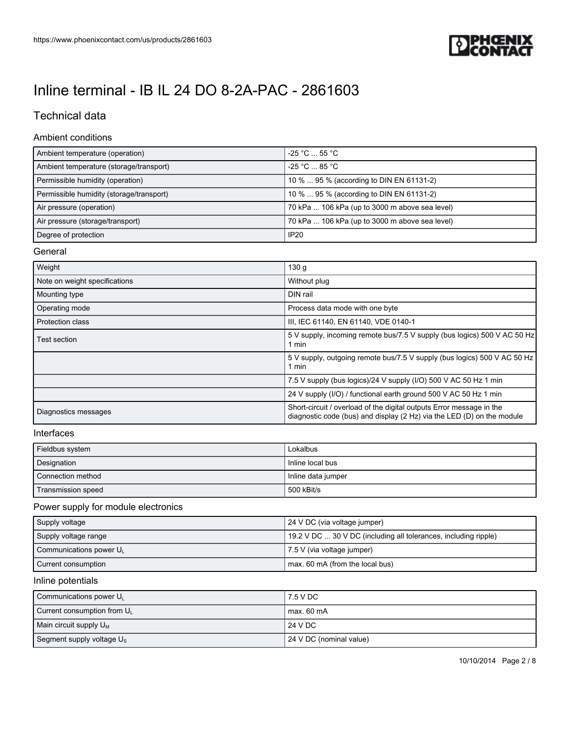

# Technical data

#### Ambient conditions

| Ambient temperature (operation)          | $-25$ °C $\dots$ 55 °C $\cdot$                 |
|------------------------------------------|------------------------------------------------|
| Ambient temperature (storage/transport)  | $-25$ °C $\ldots$ 85 °C                        |
| Permissible humidity (operation)         | 10 %  95 % (according to DIN EN 61131-2)       |
| Permissible humidity (storage/transport) | 10 %  95 % (according to DIN EN 61131-2)       |
| Air pressure (operation)                 | 70 kPa  106 kPa (up to 3000 m above sea level) |
| Air pressure (storage/transport)         | 70 kPa  106 kPa (up to 3000 m above sea level) |
| Degree of protection                     | <b>IP20</b>                                    |

#### General

| Weight                        | 130 <sub>g</sub>                                                                                                                               |
|-------------------------------|------------------------------------------------------------------------------------------------------------------------------------------------|
| Note on weight specifications | Without plug                                                                                                                                   |
| Mounting type                 | DIN rail                                                                                                                                       |
| Operating mode                | Process data mode with one byte                                                                                                                |
| <b>Protection class</b>       | III, IEC 61140, EN 61140, VDE 0140-1                                                                                                           |
| Test section.                 | 5 V supply, incoming remote bus/7.5 V supply (bus logics) 500 V AC 50 Hz<br>1 min                                                              |
|                               | 5 V supply, outgoing remote bus/7.5 V supply (bus logics) 500 V AC 50 Hz<br>1 min                                                              |
|                               | 7.5 V supply (bus logics)/24 V supply (I/O) 500 V AC 50 Hz 1 min                                                                               |
|                               | 24 V supply (I/O) / functional earth ground 500 V AC 50 Hz 1 min                                                                               |
| Diagnostics messages          | Short-circuit / overload of the digital outputs Error message in the<br>diagnostic code (bus) and display (2 Hz) via the LED (D) on the module |

#### Interfaces

| Fieldbus system    | Lokalbus           |
|--------------------|--------------------|
| Designation        | I Inline local bus |
| Connection method  | Inline data jumper |
| Transmission speed | l 500 kBit/s       |

### Power supply for module electronics

| Supply voltage                      | 24 V DC (via voltage jumper)                                    |
|-------------------------------------|-----------------------------------------------------------------|
| Supply voltage range                | 19.2 V DC  30 V DC (including all tolerances, including ripple) |
| Communications power U <sub>1</sub> | 7.5 V (via voltage jumper)                                      |
| Current consumption                 | max. 60 mA (from the local bus)                                 |

#### Inline potentials

| Communications power U <sub>1</sub>     | 7.5 V DC                |
|-----------------------------------------|-------------------------|
| Current consumption from U <sub>L</sub> | max. 60 mA              |
| Main circuit supply $U_M$               | 24 V DC                 |
| Segment supply voltage $U_{\rm s}$      | 24 V DC (nominal value) |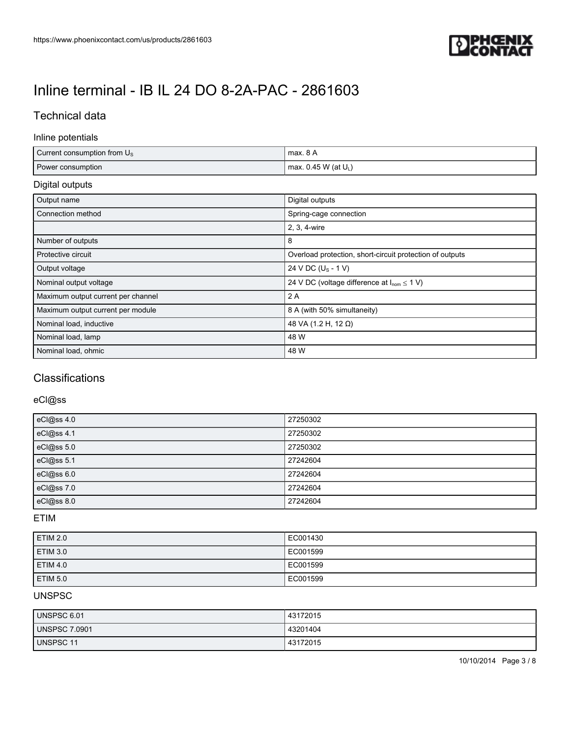

# Technical data

### Inline potentials

| Current consumption from $U_s$ | max. 8 A                |
|--------------------------------|-------------------------|
| Power consumption              | max. 0.45 W (at $U_L$ ) |

## Digital outputs

| Output name                        | Digital outputs                                          |
|------------------------------------|----------------------------------------------------------|
| Connection method                  | Spring-cage connection                                   |
|                                    | 2, 3, 4-wire                                             |
| Number of outputs                  | 8                                                        |
| Protective circuit                 | Overload protection, short-circuit protection of outputs |
| Output voltage                     | 24 V DC (U <sub>S</sub> - 1 V)                           |
| Nominal output voltage             | 24 V DC (voltage difference at $I_{nom} \le 1$ V)        |
| Maximum output current per channel | 2A                                                       |
| Maximum output current per module  | 8 A (with 50% simultaneity)                              |
| Nominal load, inductive            | 48 VA (1.2 H, 12 Ω)                                      |
| Nominal load, lamp                 | 48 W                                                     |
| Nominal load, ohmic                | 48 W                                                     |

# **Classifications**

### eCl@ss

| eCl@ss 4.0 | 27250302 |
|------------|----------|
| eCl@ss 4.1 | 27250302 |
| eCl@ss 5.0 | 27250302 |
| eCl@ss 5.1 | 27242604 |
| eCl@ss 6.0 | 27242604 |
| eCl@ss7.0  | 27242604 |
| eCl@ss 8.0 | 27242604 |

### ETIM

| <b>ETIM 2.0</b> | EC001430 |
|-----------------|----------|
| <b>ETIM 3.0</b> | EC001599 |
| <b>ETIM 4.0</b> | EC001599 |
| <b>ETIM 5.0</b> | EC001599 |

### UNSPSC

| UNSPSC 6.01          | 43172015 |
|----------------------|----------|
| <b>UNSPSC 7.0901</b> | 43201404 |
| UNSPSC 11            | 43172015 |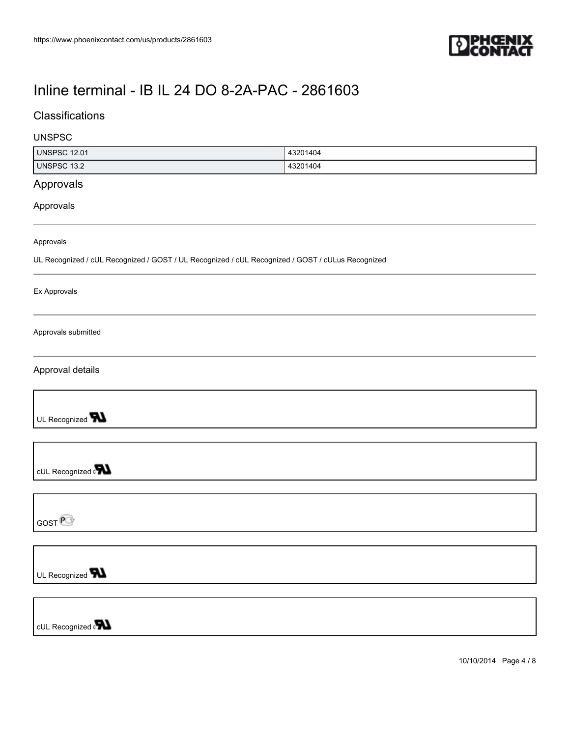

## **Classifications**

#### UNSPSC

| UNSPSC<br>12.01 | 43201404            |
|-----------------|---------------------|
| UNSPSC<br>13.2  | 13201404<br>- 43ZU. |

## Approvals

#### Approvals

Approvals

UL Recognized / cUL Recognized / GOST / UL Recognized / cUL Recognized / GOST / cULus Recognized

Ex Approvals

Approvals submitted

Approval details

UL Recognized **TN** 

cUL Recognized on

GOST<sup>@</sup>

UL Recognized **TN** 

cUL Recognized **PLL** 

10/10/2014 Page 4 / 8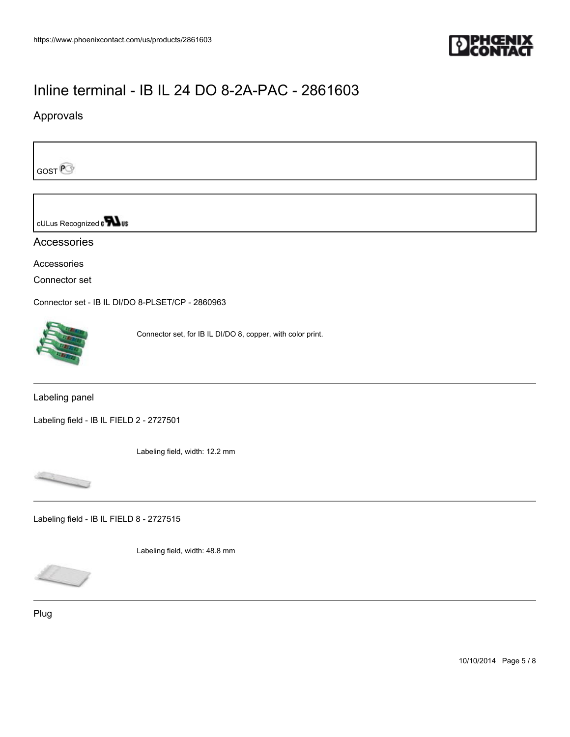

## Approvals

GOST<sup>P</sup>

cULus Recognized a **Wus** 

Accessories

Accessories

Connector set

[Connector set - IB IL DI/DO 8-PLSET/CP - 2860963](https://www.phoenixcontact.com/us/products/2860963)



Connector set, for IB IL DI/DO 8, copper, with color print.

Labeling panel

[Labeling field - IB IL FIELD 2 - 2727501](https://www.phoenixcontact.com/us/products/2727501)

Labeling field, width: 12.2 mm



[Labeling field - IB IL FIELD 8 - 2727515](https://www.phoenixcontact.com/us/products/2727515)

Labeling field, width: 48.8 mm

Plug

10/10/2014 Page 5 / 8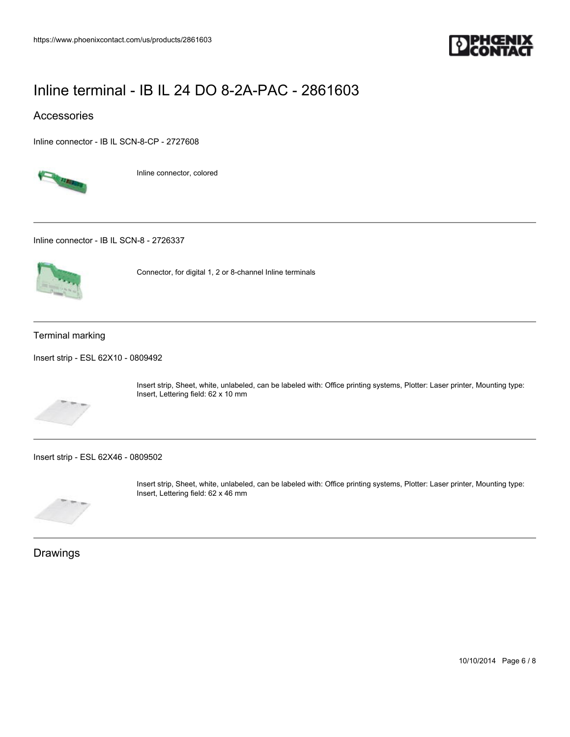

### Accessories

[Inline connector - IB IL SCN-8-CP - 2727608](https://www.phoenixcontact.com/us/products/2727608)



Inline connector, colored

[Inline connector - IB IL SCN-8 - 2726337](https://www.phoenixcontact.com/us/products/2726337)



Connector, for digital 1, 2 or 8-channel Inline terminals

#### Terminal marking

[Insert strip - ESL 62X10 - 0809492](https://www.phoenixcontact.com/us/products/0809492)



Insert strip, Sheet, white, unlabeled, can be labeled with: Office printing systems, Plotter: Laser printer, Mounting type: Insert, Lettering field: 62 x 10 mm

[Insert strip - ESL 62X46 - 0809502](https://www.phoenixcontact.com/us/products/0809502)



Insert strip, Sheet, white, unlabeled, can be labeled with: Office printing systems, Plotter: Laser printer, Mounting type: Insert, Lettering field: 62 x 46 mm

Drawings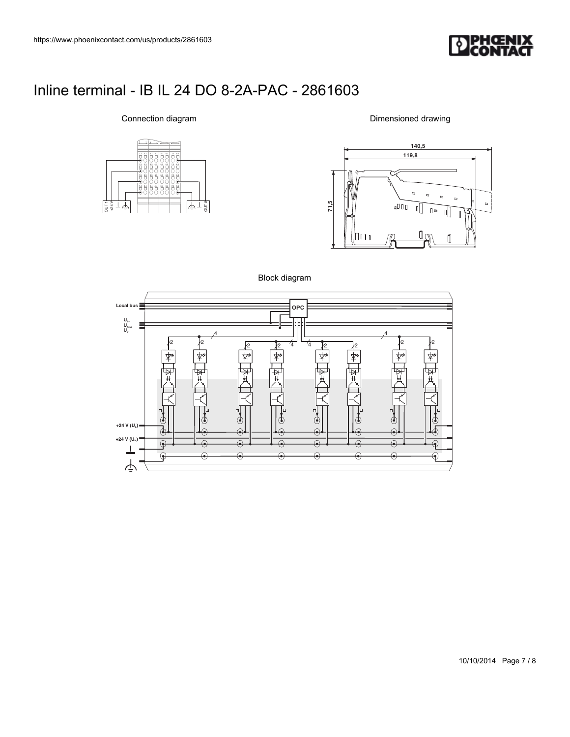

3.1 6.1 7.1 8.1 5.2 6.2 7.2 8.2 5.3 6.3 7.3 8.3 14 24 34 44 54 64 74 84 3.2 4.2 1.1 2.1 1.2 1.3 2.2  $\frac{1}{2}$   $\frac{1}{2}$   $\frac{1}{2}$   $\frac{1}{2}$   $\frac{1}{2}$   $\frac{1}{2}$   $\frac{1}{2}$   $\frac{1}{2}$   $\frac{1}{2}$   $\frac{1}{2}$ 

Connection diagram

Dimensioned drawing